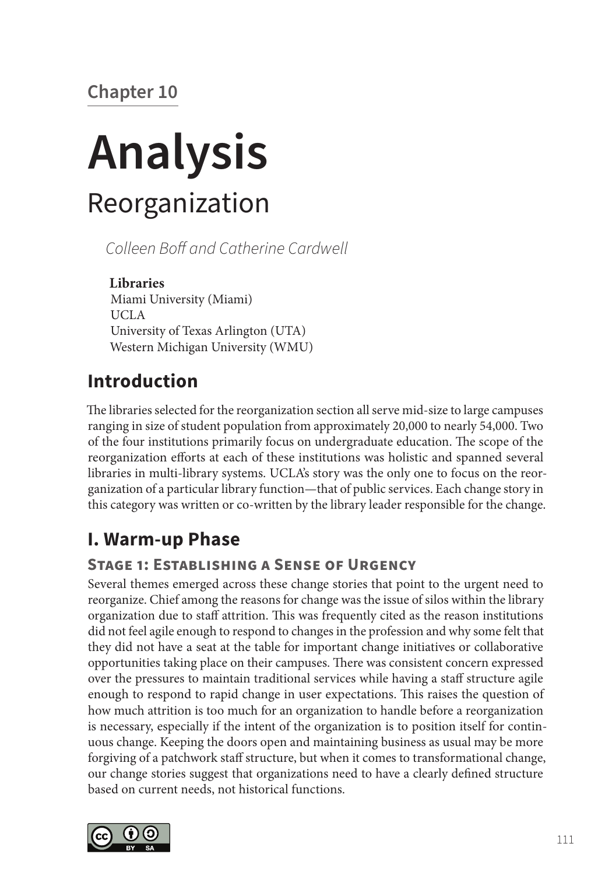# **Chapter 10**

# **Analysis** Reorganization

*Colleen Boff and Catherine Cardwell*

**Libraries** Miami University (Miami) UCLA University of Texas Arlington (UTA) Western Michigan University (WMU)

# **Introduction**

The libraries selected for the reorganization section all serve mid-size to large campuses ranging in size of student population from approximately 20,000 to nearly 54,000. Two of the four institutions primarily focus on undergraduate education. The scope of the reorganization efforts at each of these institutions was holistic and spanned several libraries in multi-library systems. UCLA's story was the only one to focus on the reorganization of a particular library function—that of public services. Each change story in this category was written or co-written by the library leader responsible for the change.

## **I. Warm-up Phase**

## **Stage 1: Establishing a Sense of Urgency**

Several themes emerged across these change stories that point to the urgent need to reorganize. Chief among the reasons for change was the issue of silos within the library organization due to staff attrition. This was frequently cited as the reason institutions did not feel agile enough to respond to changes in the profession and why some felt that they did not have a seat at the table for important change initiatives or collaborative opportunities taking place on their campuses. There was consistent concern expressed over the pressures to maintain traditional services while having a staff structure agile enough to respond to rapid change in user expectations. This raises the question of how much attrition is too much for an organization to handle before a reorganization is necessary, especially if the intent of the organization is to position itself for continuous change. Keeping the doors open and maintaining business as usual may be more forgiving of a patchwork staff structure, but when it comes to transformational change, our change stories suggest that organizations need to have a clearly defined structure based on current needs, not historical functions.

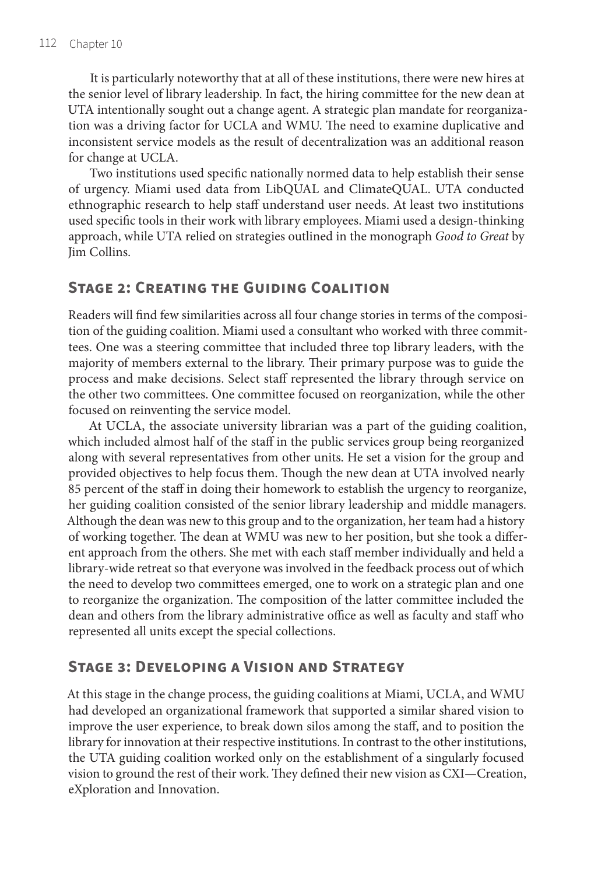It is particularly noteworthy that at all of these institutions, there were new hires at the senior level of library leadership. In fact, the hiring committee for the new dean at UTA intentionally sought out a change agent. A strategic plan mandate for reorganization was a driving factor for UCLA and WMU. The need to examine duplicative and inconsistent service models as the result of decentralization was an additional reason for change at UCLA.

Two institutions used specific nationally normed data to help establish their sense of urgency. Miami used data from LibQUAL and ClimateQUAL. UTA conducted ethnographic research to help staff understand user needs. At least two institutions used specific tools in their work with library employees. Miami used a design-thinking approach, while UTA relied on strategies outlined in the monograph *Good to Great* by Jim Collins.

#### **Stage 2: Creating the Guiding Coalition**

Readers will find few similarities across all four change stories in terms of the composition of the guiding coalition. Miami used a consultant who worked with three committees. One was a steering committee that included three top library leaders, with the majority of members external to the library. Their primary purpose was to guide the process and make decisions. Select staff represented the library through service on the other two committees. One committee focused on reorganization, while the other focused on reinventing the service model.

At UCLA, the associate university librarian was a part of the guiding coalition, which included almost half of the staff in the public services group being reorganized along with several representatives from other units. He set a vision for the group and provided objectives to help focus them. Though the new dean at UTA involved nearly 85 percent of the staff in doing their homework to establish the urgency to reorganize, her guiding coalition consisted of the senior library leadership and middle managers. Although the dean was new to this group and to the organization, her team had a history of working together. The dean at WMU was new to her position, but she took a different approach from the others. She met with each staff member individually and held a library-wide retreat so that everyone was involved in the feedback process out of which the need to develop two committees emerged, one to work on a strategic plan and one to reorganize the organization. The composition of the latter committee included the dean and others from the library administrative office as well as faculty and staff who represented all units except the special collections.

#### **Stage 3: Developing a Vision and Strategy**

At this stage in the change process, the guiding coalitions at Miami, UCLA, and WMU had developed an organizational framework that supported a similar shared vision to improve the user experience, to break down silos among the staff, and to position the library for innovation at their respective institutions. In contrast to the other institutions, the UTA guiding coalition worked only on the establishment of a singularly focused vision to ground the rest of their work. They defined their new vision as CXI—Creation, eXploration and Innovation.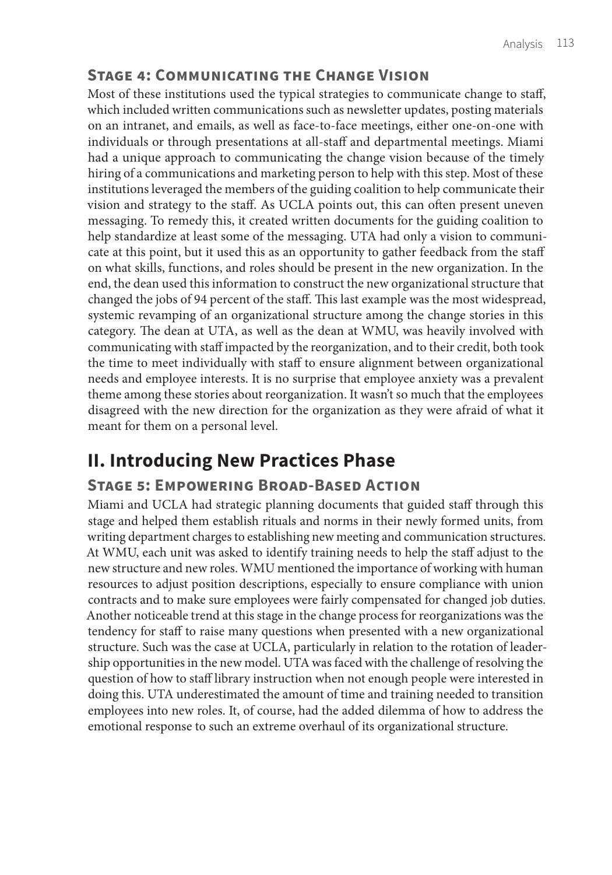#### **Stage 4: Communicating the Change Vision**

Most of these institutions used the typical strategies to communicate change to staff, which included written communications such as newsletter updates, posting materials on an intranet, and emails, as well as face-to-face meetings, either one-on-one with individuals or through presentations at all-staff and departmental meetings. Miami had a unique approach to communicating the change vision because of the timely hiring of a communications and marketing person to help with this step. Most of these institutions leveraged the members of the guiding coalition to help communicate their vision and strategy to the staff. As UCLA points out, this can often present uneven messaging. To remedy this, it created written documents for the guiding coalition to help standardize at least some of the messaging. UTA had only a vision to communicate at this point, but it used this as an opportunity to gather feedback from the staff on what skills, functions, and roles should be present in the new organization. In the end, the dean used this information to construct the new organizational structure that changed the jobs of 94 percent of the staff. This last example was the most widespread, systemic revamping of an organizational structure among the change stories in this category. The dean at UTA, as well as the dean at WMU, was heavily involved with communicating with staff impacted by the reorganization, and to their credit, both took the time to meet individually with staff to ensure alignment between organizational needs and employee interests. It is no surprise that employee anxiety was a prevalent theme among these stories about reorganization. It wasn't so much that the employees disagreed with the new direction for the organization as they were afraid of what it meant for them on a personal level.

## **II. Introducing New Practices Phase**

#### **Stage 5: Empowering Broad-Based Action**

Miami and UCLA had strategic planning documents that guided staff through this stage and helped them establish rituals and norms in their newly formed units, from writing department charges to establishing new meeting and communication structures. At WMU, each unit was asked to identify training needs to help the staff adjust to the new structure and new roles. WMU mentioned the importance of working with human resources to adjust position descriptions, especially to ensure compliance with union contracts and to make sure employees were fairly compensated for changed job duties. Another noticeable trend at this stage in the change process for reorganizations was the tendency for staff to raise many questions when presented with a new organizational structure. Such was the case at UCLA, particularly in relation to the rotation of leadership opportunities in the new model. UTA was faced with the challenge of resolving the question of how to staff library instruction when not enough people were interested in doing this. UTA underestimated the amount of time and training needed to transition employees into new roles. It, of course, had the added dilemma of how to address the emotional response to such an extreme overhaul of its organizational structure.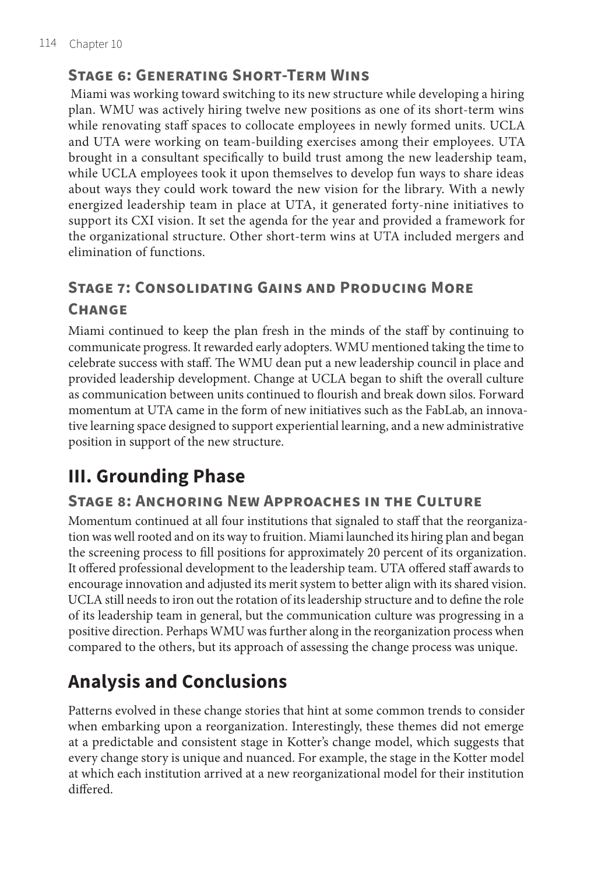#### **Stage 6: Generating Short-Term Wins**

 Miami was working toward switching to its new structure while developing a hiring plan. WMU was actively hiring twelve new positions as one of its short-term wins while renovating staff spaces to collocate employees in newly formed units. UCLA and UTA were working on team-building exercises among their employees. UTA brought in a consultant specifically to build trust among the new leadership team, while UCLA employees took it upon themselves to develop fun ways to share ideas about ways they could work toward the new vision for the library. With a newly energized leadership team in place at UTA, it generated forty-nine initiatives to support its CXI vision. It set the agenda for the year and provided a framework for the organizational structure. Other short-term wins at UTA included mergers and elimination of functions.

### **Stage 7: Consolidating Gains and Producing More**

#### **Change**

Miami continued to keep the plan fresh in the minds of the staff by continuing to communicate progress. It rewarded early adopters. WMU mentioned taking the time to celebrate success with staff. The WMU dean put a new leadership council in place and provided leadership development. Change at UCLA began to shift the overall culture as communication between units continued to flourish and break down silos. Forward momentum at UTA came in the form of new initiatives such as the FabLab, an innovative learning space designed to support experiential learning, and a new administrative position in support of the new structure.

## **III. Grounding Phase**

#### **Stage 8: Anchoring New Approaches in the Culture**

Momentum continued at all four institutions that signaled to staff that the reorganization was well rooted and on its way to fruition. Miami launched its hiring plan and began the screening process to fill positions for approximately 20 percent of its organization. It offered professional development to the leadership team. UTA offered staff awards to encourage innovation and adjusted its merit system to better align with its shared vision. UCLA still needs to iron out the rotation of its leadership structure and to define the role of its leadership team in general, but the communication culture was progressing in a positive direction. Perhaps WMU was further along in the reorganization process when compared to the others, but its approach of assessing the change process was unique.

## **Analysis and Conclusions**

Patterns evolved in these change stories that hint at some common trends to consider when embarking upon a reorganization. Interestingly, these themes did not emerge at a predictable and consistent stage in Kotter's change model, which suggests that every change story is unique and nuanced. For example, the stage in the Kotter model at which each institution arrived at a new reorganizational model for their institution differed.